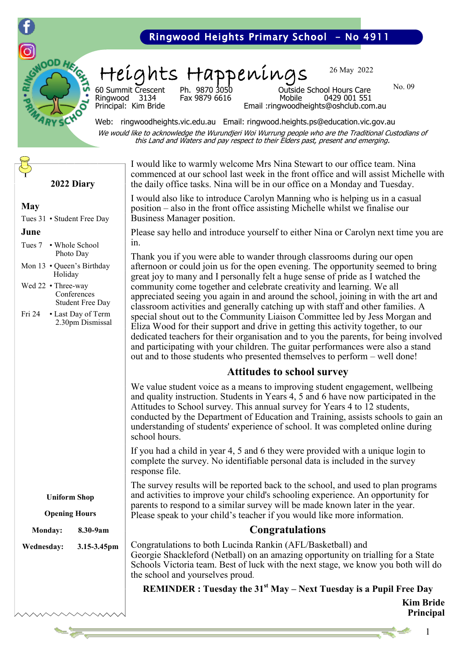

#### Ringwood Heights Primary School - No 4911

Heights Happenings

Fax 9879 6616

26 May 2022

No. 09

60 Summit Crescent Ph. 9870 3050 Outside School Hours Care Principal: Kim Bride Email :ringwoodheights@oshclub.com.au

Web: ringwoodheights.vic.edu.au Email: ringwood.heights.ps@education.vic.gov.au We would like to acknowledge the Wurundjeri Woi Wurrung people who are the Traditional Custodians of this Land and Waters and pay respect to their Elders past, present and emerging.

**2022 Diary**

#### **May**

Tues 31 • Student Free Day

#### **June**

Tues 7 • Whole School Photo Day

- Mon 13 Queen's Birthday Holiday
- Wed 22 Three-way **Conferences** Student Free Day
- Fri 24 Last Day of Term 2.30pm Dismissal

I would like to warmly welcome Mrs Nina Stewart to our office team. Nina commenced at our school last week in the front office and will assist Michelle with the daily office tasks. Nina will be in our office on a Monday and Tuesday.

I would also like to introduce Carolyn Manning who is helping us in a casual position – also in the front office assisting Michelle whilst we finalise our Business Manager position.

Please say hello and introduce yourself to either Nina or Carolyn next time you are in.

Thank you if you were able to wander through classrooms during our open afternoon or could join us for the open evening. The opportunity seemed to bring great joy to many and I personally felt a huge sense of pride as I watched the community come together and celebrate creativity and learning. We all appreciated seeing you again in and around the school, joining in with the art and classroom activities and generally catching up with staff and other families. A special shout out to the Community Liaison Committee led by Jess Morgan and Eliza Wood for their support and drive in getting this activity together, to our dedicated teachers for their organisation and to you the parents, for being involved and participating with your children. The guitar performances were also a stand out and to those students who presented themselves to perform – well done!

#### **Attitudes to school survey**

We value student voice as a means to improving student engagement, wellbeing and quality instruction. Students in Years 4, 5 and 6 have now participated in the Attitudes to School survey. This annual survey for Years 4 to 12 students, conducted by the Department of Education and Training, assists schools to gain an understanding of students' experience of school. It was completed online during school hours.

If you had a child in year 4, 5 and 6 they were provided with a unique login to complete the survey. No identifiable personal data is included in the survey response file.

The survey results will be reported back to the school, and used to plan programs and activities to improve your child's schooling experience. An opportunity for parents to respond to a similar survey will be made known later in the year. Please speak to your child's teacher if you would like more information.

#### **Congratulations**

Congratulations to both Lucinda Rankin (AFL/Basketball) and Georgie Shackleford (Netball) on an amazing opportunity on trialling for a State Schools Victoria team. Best of luck with the next stage, we know you both will do the school and yourselves proud.

**REMINDER : Tuesday the 31st May – Next Tuesday is a Pupil Free Day**

**Kim Bride Principal**

**Uniform Shop**

**Opening Hours**

**Monday: 8.30-9am**

**Wednesday: 3.15-3.45pm**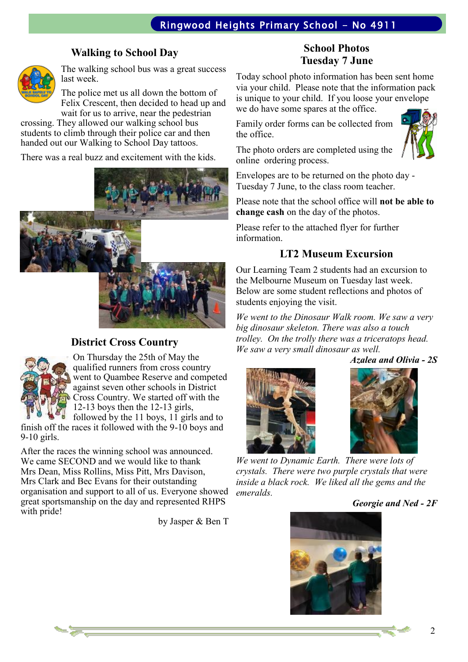#### **Walking to School Day**



The walking school bus was a great success last week.

The police met us all down the bottom of Felix Crescent, then decided to head up and wait for us to arrive, near the pedestrian

crossing. They allowed our walking school bus students to climb through their police car and then handed out our Walking to School Day tattoos.

There was a real buzz and excitement with the kids.



#### **District Cross Country**



On Thursday the 25th of May the qualified runners from cross country went to Quambee Reserve and competed against seven other schools in District Cross Country. We started off with the 12-13 boys then the 12-13 girls, followed by the 11 boys, 11 girls and to

finish off the races it followed with the 9-10 boys and 9-10 girls.

After the races the winning school was announced. We came SECOND and we would like to thank Mrs Dean, Miss Rollins, Miss Pitt, Mrs Davison, Mrs Clark and Bec Evans for their outstanding organisation and support to all of us. Everyone showed great sportsmanship on the day and represented RHPS with pride!

by Jasper & Ben T

#### **School Photos Tuesday 7 June**

Today school photo information has been sent home via your child. Please note that the information pack is unique to your child. If you loose your envelope we do have some spares at the office.

Family order forms can be collected from the office.



The photo orders are completed using the online ordering process.

Envelopes are to be returned on the photo day - Tuesday 7 June, to the class room teacher.

Please note that the school office will **not be able to change cash** on the day of the photos.

Please refer to the attached flyer for further information.

# **LT2 Museum Excursion**

Our Learning Team 2 students had an excursion to the Melbourne Museum on Tuesday last week. Below are some student reflections and photos of students enjoying the visit.

*We went to the Dinosaur Walk room. We saw a very big dinosaur skeleton. There was also a touch trolley. On the trolly there was a triceratops head. We saw a very small dinosaur as well.*

*Azalea and Olivia - 2S*





*We went to Dynamic Earth. There were lots of crystals. There were two purple crystals that were inside a black rock. We liked all the gems and the emeralds.* 

*Georgie and Ned - 2F*

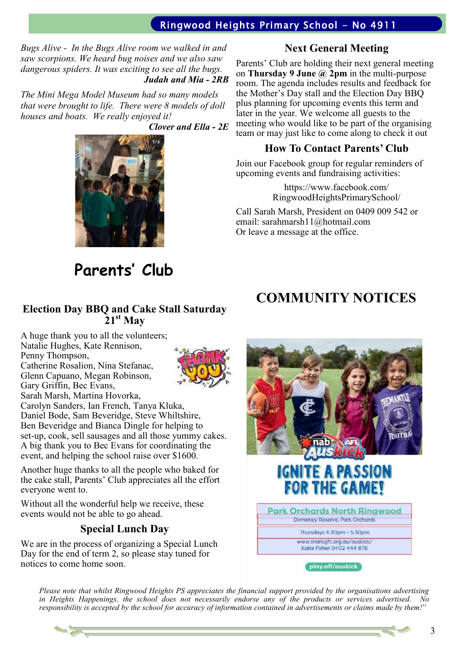## Ringwood Heights Primary School - No 4911

*Bugs Alive - In the Bugs Alive room we walked in and saw scorpions. We heard bug noises and we also saw dangerous spiders. It was exciting to see all the bugs. Judah and Mia - 2RB*

*The Mini Mega Model Museum had so many models that were brought to life. There were 8 models of doll houses and boats. We really enjoyed it!*

*Clover and Ella - 2E*



# **Parents' Club**

#### **Election Day BBQ and Cake Stall Saturday 21st May**

A huge thank you to all the volunteers; Natalie Hughes, Kate Rennison, Penny Thompson,

Catherine Rosalion, Nina Stefanac, Glenn Capuano, Megan Robinson, Gary Griffin, Bec Evans, Sarah Marsh, Martina Hovorka,



Carolyn Sanders, Ian French, Tanya Kluka, Daniel Bode, Sam Beveridge, Steve Whiltshire, Ben Beveridge and Bianca Dingle for helping to set-up, cook, sell sausages and all those yummy cakes. A big thank you to Bec Evans for coordinating the event, and helping the school raise over \$1600.

Another huge thanks to all the people who baked for the cake stall, Parents' Club appreciates all the effort everyone went to.

Without all the wonderful help we receive, these events would not be able to go ahead.

#### **Special Lunch Day**

We are in the process of organizing a Special Lunch Day for the end of term 2, so please stay tuned for notices to come home soon.

## **Next General Meeting**

Parents' Club are holding their next general meeting on **Thursday 9 June @ 2pm** in the multi-purpose room. The agenda includes results and feedback for the Mother's Day stall and the Election Day BBQ plus planning for upcoming events this term and later in the year. We welcome all guests to the meeting who would like to be part of the organising team or may just like to come along to check it out

## **How To Contact Parents' Club**

Join our Facebook group for regular reminders of upcoming events and fundraising activities:

> https://www.facebook.com/ RingwoodHeightsPrimarySchool/

Call Sarah Marsh, President on 0409 009 542 or email: sarahmarsh11@hotmail.com Or leave a message at the office.

# **COMMUNITY NOTICES**



*Please note that whilst Ringwood Heights PS appreciates the financial support provided by the organisations advertising in Heights Happenings, the school does not necessarily endorse any of the products or services advertised. No responsibility is accepted by the school for accuracy of information contained in advertisements or claims made by them!"*